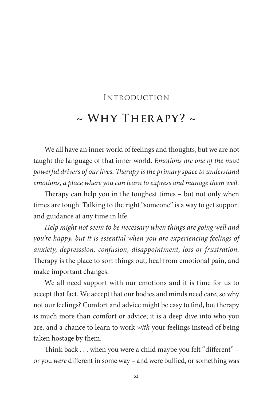## Introduction

## **~ Why Therapy? ~**

We all have an inner world of feelings and thoughts, but we are not taught the language of that inner world. *Emotions are one of the most powerful drivers of our lives. Therapy is the primary space to understand emotions, a place where you can learn to express and manage them well.*

Therapy can help you in the toughest times – but not only when times are tough. Talking to the right "someone" is a way to get support and guidance at any time in life.

*Help might not seem to be necessary when things are going well and you're happy, but it is essential when you are experiencing feelings of anxiety, depresssion, confusion, disappointment, loss or frustration.* Therapy is the place to sort things out, heal from emotional pain, and make important changes.

We all need support with our emotions and it is time for us to accept that fact. We accept that our bodies and minds need care, so why not our feelings? Comfort and advice might be easy to find, but therapy is much more than comfort or advice; it is a deep dive into who you are, and a chance to learn to work *with* your feelings instead of being taken hostage by them.

Think back . . . when you were a child maybe you felt "different" – or you *were* different in some way – and were bullied, or something was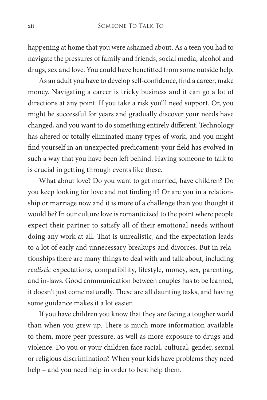happening at home that you were ashamed about. As a teen you had to navigate the pressures of family and friends, social media, alcohol and drugs, sex and love. You could have benefitted from some outside help.

As an adult you have to develop self-confidence, find a career, make money. Navigating a career is tricky business and it can go a lot of directions at any point. If you take a risk you'll need support. Or, you might be successful for years and gradually discover your needs have changed, and you want to do something entirely different. Technology has altered or totally eliminated many types of work, and you might find yourself in an unexpected predicament; your field has evolved in such a way that you have been left behind. Having someone to talk to is crucial in getting through events like these.

What about love? Do you want to get married, have children? Do you keep looking for love and not finding it? Or are you in a relationship or marriage now and it is more of a challenge than you thought it would be? In our culture love is romanticized to the point where people expect their partner to satisfy all of their emotional needs without doing any work at all. That is unrealistic, and the expectation leads to a lot of early and unnecessary breakups and divorces. But in relationships there are many things to deal with and talk about, including *realistic* expectations, compatibility, lifestyle, money, sex, parenting, and in-laws. Good communication between couples has to be learned, it doesn't just come naturally. These are all daunting tasks, and having some guidance makes it a lot easier.

If you have children you know that they are facing a tougher world than when you grew up. There is much more information available to them, more peer pressure, as well as more exposure to drugs and violence. Do you or your children face racial, cultural, gender, sexual or religious discrimination? When your kids have problems they need help – and you need help in order to best help them.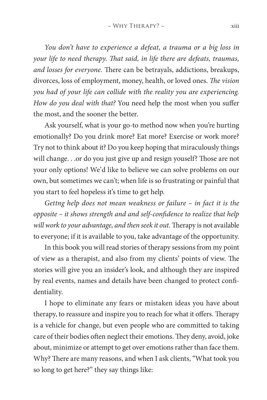*You don't have to experience a defeat, a trauma or a big loss in your life to need therapy. That said, in life there are defeats, traumas, and losses for everyone.* There can be betrayals, addictions, breakups, divorces, loss of employment, money, health, or loved ones. *The vision you had of your life can collide with the reality you are experiencing. How do you deal with that?* You need help the most when you suffer the most, and the sooner the better.

Ask yourself, what is your go-to method now when you're hurting emotionally? Do you drink more? Eat more? Exercise or work more? Try not to think about it? Do you keep hoping that miraculously things will change. . .or do you just give up and resign youself? Those are not your only options! We'd like to believe we can solve problems on our own, but sometimes we can't; when life is so frustrating or painful that you start to feel hopeless it's time to get help.

*Gettng help does not mean weakness or failure – in fact it is the opposite – it shows strength and and self-confidence to realize that help will work to your advantage, and then seek it out.* Therapy is not available to everyone; if it is available to you, take advantage of the opportunity.

In this book you will read stories of therapy sessions from my point of view as a therapist, and also from my clients' points of view. The stories will give you an insider's look, and although they are inspired by real events, names and details have been changed to protect confidentiality.

I hope to eliminate any fears or mistaken ideas you have about therapy, to reassure and inspire you to reach for what it offers. Therapy is a vehicle for change, but even people who are committed to taking care of their bodies often neglect their emotions. They deny, avoid, joke about, minimize or attempt to get over emotions rather than face them. Why? There are many reasons, and when I ask clients, "What took you so long to get here?" they say things like: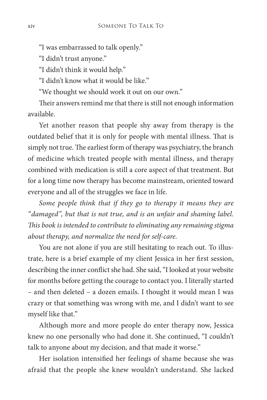"I was embarrassed to talk openly."

"I didn't trust anyone."

"I didn't think it would help."

"I didn't know what it would be like."

"We thought we should work it out on our own."

Their answers remind me that there is still not enough information available.

Yet another reason that people shy away from therapy is the outdated belief that it is only for people with mental illness. That is simply not true. The earliest form of therapy was psychiatry, the branch of medicine which treated people with mental illness, and therapy combined with medication is still a core aspect of that treatment. But for a long time now therapy has become mainstream, oriented toward everyone and all of the struggles we face in life.

*Some people think that if they go to therapy it means they are "damaged", but that is not true, and is an unfair and shaming label. This book is intended to contribute to eliminating any remaining stigma about therapy, and normalize the need for self-care.* 

You are not alone if you are still hesitating to reach out. To illustrate, here is a brief example of my client Jessica in her first session, describing the inner conflict she had. She said, "I looked at your website for months before getting the courage to contact you. I literally started – and then deleted – a dozen emails. I thought it would mean I was crazy or that something was wrong with me, and I didn't want to see myself like that."

Although more and more people do enter therapy now, Jessica knew no one personally who had done it. She continued, "I couldn't talk to anyone about my decision, and that made it worse."

Her isolation intensified her feelings of shame because she was afraid that the people she knew wouldn't understand. She lacked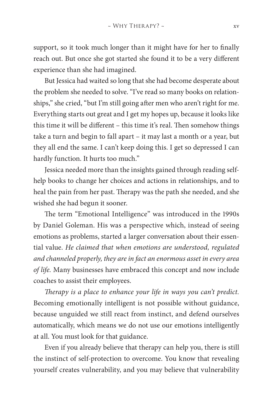support, so it took much longer than it might have for her to finally reach out. But once she got started she found it to be a very different experience than she had imagined.

But Jessica had waited so long that she had become desperate about the problem she needed to solve. "I've read so many books on relationships," she cried, "but I'm still going after men who aren't right for me. Everything starts out great and I get my hopes up, because it looks like this time it will be different – this time it's real. Then somehow things take a turn and begin to fall apart – it may last a month or a year, but they all end the same. I can't keep doing this. I get so depressed I can hardly function. It hurts too much."

Jessica needed more than the insights gained through reading selfhelp books to change her choices and actions in relationships, and to heal the pain from her past. Therapy was the path she needed, and she wished she had begun it sooner.

The term "Emotional Intelligence" was introduced in the 1990s by Daniel Goleman. His was a perspective which, instead of seeing emotions as problems, started a larger conversation about their essential value. *He claimed that when emotions are understood, regulated and channeled properly, they are in fact an enormous asset in every area of life.* Many businesses have embraced this concept and now include coaches to assist their employees.

*Therapy is a place to enhance your life in ways you can't predict.*  Becoming emotionally intelligent is not possible without guidance, because unguided we still react from instinct, and defend ourselves automatically, which means we do not use our emotions intelligently at all. You must look for that guidance.

Even if you already believe that therapy can help you, there is still the instinct of self-protection to overcome. You know that revealing yourself creates vulnerability, and you may believe that vulnerability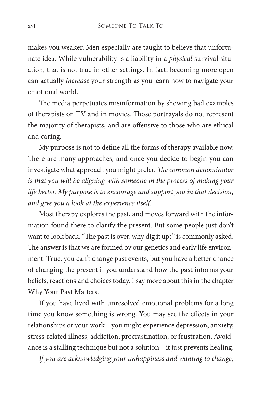makes you weaker. Men especially are taught to believe that unfortunate idea. While vulnerability is a liability in a *physical* survival situation, that is not true in other settings. In fact, becoming more open can actually *increase* your strength as you learn how to navigate your emotional world.

The media perpetuates misinformation by showing bad examples of therapists on TV and in movies. Those portrayals do not represent the majority of therapists, and are offensive to those who are ethical and caring.

My purpose is not to define all the forms of therapy available now. There are many approaches, and once you decide to begin you can investigate what approach you might prefer. *The common denominator is that you will be aligning with someone in the process of making your life better. My purpose is to encourage and support you in that decision, and give you a look at the experience itself.*

Most therapy explores the past, and moves forward with the information found there to clarify the present. But some people just don't want to look back. "The past is over, why dig it up?" is commonly asked. The answer is that we are formed by our genetics and early life environment. True, you can't change past events, but you have a better chance of changing the present if you understand how the past informs your beliefs, reactions and choices today. I say more about this in the chapter Why Your Past Matters.

If you have lived with unresolved emotional problems for a long time you know something is wrong. You may see the effects in your relationships or your work – you might experience depression, anxiety, stress-related illness, addiction, procrastination, or frustration. Avoidance is a stalling technique but not a solution – it just prevents healing.

*If you are acknowledging your unhappiness and wanting to change,*